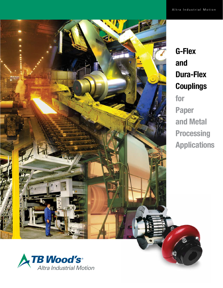

# G-Flex and Dura-Flex **Couplings** for Paper and Metal **Processing** Applications

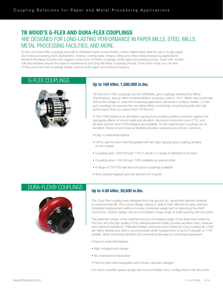## TB WOOD'S G-FLEX AND DURA-FLEX COUPLINGS ARE DESIGNED FOR LONG-LASTING PERFORMANCE IN PAPER MILLS, STEEL MILLS, METAL PROCESSING FACILITIES, AND MORE.

G-Flex and Dura-Flex couplings are built to withstand harsh environments, which makes them ideal for use in tough paper and metal processing plant applications. Cranes, cooling beds, shears, rolling and other metal processing applications demand the heavy torques and rugged construction of these couplings, while paper processing pumps, dryer rolls, suction rolls and winders require the ease of maintenance and long life these couplings provide. That's why today you can find G-Flex and Dura-Flex couplings widely used by both paper and metal processors.

### G-FLEX COUPLINGS



### Up to 169 kNm; 1,500,000 in.lbs.

TB Wood's G-Flex couplings are the ORIGINAL grid couplings designed by Bibby Transmission, also an Altra Industrial Motion company, back in 1917. Bibby has continually refined the design to meet the increasing application demands in today's market. G-Flex grid couplings incorporate the very latest Bibby technology, ensuring long life and high performance that you expect from TB Wood's.

G-Flex 1000 Series is an all-metal coupling that provides positive protection against the damaging effects of shock loads and vibration. Aluminum horizontal cover (T10), and all-steel vertical cover (T20) designs are available. G-Flex tapered grid couplings are an excellent choice where torsional flexibility/vibration damping are primary concerns.

- Easy to assemble/replace
- 100%, part-for-part interchangeable with all major tapered grid coupling designs on the market
- Coupling sizes 1020 through 1140 in-stock in a range of standard bore sizes
- Coupling sizes 1150 through 1200 available by special order
- A range of T31/T35 half and full spacer couplings available
- Shot-peened tapered grid flex element for long life

### DURA-FLEX® COUPLINGS



### Up to 4.50 kNm; 39,500 in.lbs.

The Dura-Flex coupling was designed from the ground up, using finite element analysis to maximize flex life. The unique design utilizes a "split-in-half" element for easy element installation/replacement without moving connected equipment or disturbing the shaft connection. Spacer design can accommodate a large range of shaft spacing with few parts.

The patented design of the urethane bond to the leading edge of the steel shoe bolted to the hub, and the high quality of the urethane element itself, provide excellent heat, moisture, and chemical resistance. Patented design minimizes bond stress for long coupling life. Units are highly flexible and able to accommodate shaft misalignment of up to 4˚ angular or 1/16" parallel, while minimizing vibration and preventing damage to connected equipment.

- Easy to assemble/replace
- High misalignment ratings
- No maintenance/lubrication
- Part-for-part interchangeable with industry standard designs
- In-stock versatile spacer design can accommodate many configurations with few parts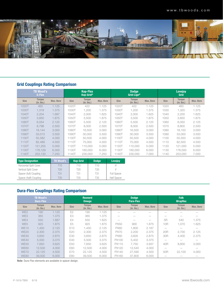

### Grid Couplings Rating Comparison

|             | <b>TB Wood's</b><br><b>G-Flex</b> |                  |             | <b>Kop-Flex</b><br>Kop-Grid®     |           |             | <b>Dodge</b><br>Grid-Lign®    |                  |             | <b>Lovejoy</b><br>Grid           |           |
|-------------|-----------------------------------|------------------|-------------|----------------------------------|-----------|-------------|-------------------------------|------------------|-------------|----------------------------------|-----------|
| <b>Size</b> | <b>Torque</b><br>$(in.$ Ibs. $)$  | <b>Max. Bore</b> | <b>Size</b> | <b>Torque</b><br>$(in.$ Ibs. $)$ | Max. Bore | <b>Size</b> | <b>Torque</b><br>$(in.$ Ibs.) | <b>Max. Bore</b> | <b>Size</b> | <b>Torque</b><br>$(in.$ Ibs. $)$ | Max. Bore |
| 1020T       | 460                               | 1.125            | 1020T       | 422                              | 1.125     | 1020T       | 422                           | 1.125            | 1020        | 460                              | 1.125     |
| 1030T       | 1,319                             | 1.375            | 1030T       | 1,200                            | 1.375     | 1030T       | 1,200                         | 1.375            | 1030        | 1,320                            | 1.375     |
| 1040T       | 2.204                             | 1.687            | 1040T       | 2.000                            | 1.625     | 1040T       | 2.000                         | 1.625            | 1040        | 2,200                            | 1.625     |
| 1050T       | 3.850                             | 1.875            | 1050T       | 3.500                            | 1.875     | 1050T       | 3,500                         | 1.875            | 1050        | 3.850                            | 1.875     |
| 1060T       | 6.054                             | 2.125            | 1060T       | 5.500                            | 2.125     | 1060T       | 5,500                         | 2.125            | 1060        | 6.050                            | 2.125     |
| 1070T       | 8.798                             | 2.500            | 1070T       | 8,000                            | 2.500     | 1070T       | 8.000                         | 2.500            | 1070        | 8.800                            | 2.500     |
| 1080T       | 18.144                            | 3.000            | 1080T       | 16.500                           | 3.000     | 1080T       | 16,500                        | 3.000            | 1080        | 18.150                           | 3.000     |
| 1090T       | 33,013                            | 3.500            | 1090T       | 30,000                           | 3.500     | 1090T       | 30,000                        | 3.500            | 1090        | 33,000                           | 3.500     |
| 1100T       | 55,582                            | 4.000            | 1100T       | 50,500                           | 4.000     | 1100T       | 50,500                        | 4.000            | 1100        | 55,550                           | 4.000     |
| 1110T       | 82.489                            | 4.500            | 1110T       | 75,000                           | 4.500     | 1110T       | 75,000                        | 4.500            | 1110        | 82.500                           | 4.500     |
| 1120T       | 121.255                           | 5.000            | 1120T       | 110,000                          | 5.000     | 1120T       | 110,000                       | 5.000            | 1120        | 121.000                          | 5.000     |
| 1130T       | 176.129                           | 6.000            | 1130T       | 160,000                          | 6.000     | 1130T       | 160,000                       | 6.000            | 1130        | 176.000                          | 6.000     |
| 1140T       | 253.130                           | 7.250            | 1140T       | 230,000                          | 7.250     | 1140T       | 230,000                       | 7.000            | 1140        | 253,000                          | 7.000     |

| <b>Type Designation</b> | <b>TB Wood's</b> | <b>Kop-Grid</b> | <b>Dodge</b> | Lovejoy            |  |
|-------------------------|------------------|-----------------|--------------|--------------------|--|
| Horizontal Split Cover  | T10              | T10             | T10          |                    |  |
| Vertical Split Cover    | T <sub>20</sub>  | T20             | T20          |                    |  |
| Spacer (full) Coupling  | T31              | T31             | T31          | <b>Full Spacer</b> |  |
| Spacer (half) Coupling  | T <sub>35</sub>  | T35             | T35          | <b>Half Spacer</b> |  |

## Dura-Flex Couplings Rating Comparison

|                 | <b>TB Wood's</b><br><b>Dura-Flex</b> |           |                 | <b>Rexnord</b><br><b>Omega</b>   |                  |             | <b>Dodge</b><br>Para-Flex        |                          |                 | <b>Falk</b><br><b>Wrapflex</b>   |           |
|-----------------|--------------------------------------|-----------|-----------------|----------------------------------|------------------|-------------|----------------------------------|--------------------------|-----------------|----------------------------------|-----------|
| <b>Size</b>     | <b>Torque</b><br>$(in.$ Ibs. $)$     | Max. Bore | <b>Size</b>     | <b>Torque</b><br>$(in.$ Ibs. $)$ | <b>Max. Bore</b> | <b>Size</b> | <b>Torque</b><br>$(in.$ Ibs. $)$ | Max. Bore                | <b>Size</b>     | <b>Torque</b><br>$(in.$ Ibs. $)$ | Max. Bore |
| WE <sub>2</sub> | 190                                  | 1.125     | E <sub>2</sub>  | 190                              | 1.125            |             |                                  | -                        |                 |                                  |           |
| WE3             | 365                                  | 1.375     | E3              | 365                              | 1.375            |             |                                  |                          |                 |                                  |           |
| WE4             | 550                                  | 1.687     | <b>E4</b>       | 550                              | 1.625            | -           | $\overline{\phantom{a}}$         | $\overline{\phantom{a}}$ | 5 <sub>R</sub>  | 540                              | 1.375     |
| WE <sub>5</sub> | 925                                  | 1.875     | E <sub>5</sub>  | 925                              | 1.875            | <b>PX50</b> | 900                              | 1.875                    | 10 <sub>R</sub> | 1,070                            | 1.625     |
| <b>WE10</b>     | 1.450                                | 2.125     | E <sub>10</sub> | 1.450                            | 2.125            | <b>PX60</b> | 1,800                            | 2.187                    |                 |                                  |           |
| <b>WE20</b>     | 2,300                                | 2.375     | E20             | 2,300                            | 2.375            | <b>PX70</b> | 2,200                            | 2.375                    | 20 <sub>R</sub> | 2,700                            | 2.125     |
| <b>WE30</b>     | 3,650                                | 2.875     | E30             | 3.650                            | 2.875            | <b>PX80</b> | 3.605                            | 2.875                    | 30 <sub>R</sub> | 4,400                            | 2.375     |
| <b>WE40</b>     | 5,500                                | 3.375     | E40             | 5,500                            | 3.375            | PX100       | 5,402                            | 3.375                    |                 |                                  |           |
| <b>WE50</b>     | 7.650                                | 3.625     | E50             | 7.650                            | 3.625            | PX110       | 7.750                            | 3.937                    | 40R             | 8,800                            | 3.000     |
| <b>WE60</b>     | 12.500                               | 4.000     | E60             | 12.500                           | 4.000            | PX120       | 12,540                           | 4.000                    |                 |                                  |           |
| <b>WE70</b>     | 22,125                               | 4.500     | E70             | 22,125                           | 4.500            | PX140       | 27,590                           | 4.500                    | 50 <sub>R</sub> | 22.100                           | 4.000     |
| <b>WE80</b>     | 39,500                               | 6.000     | <b>E80</b>      | 39,500                           | 6.000            | PX160       | 37,800                           | 6.000                    |                 |                                  |           |

Note: Dura-Flex elements are available in spacer design.